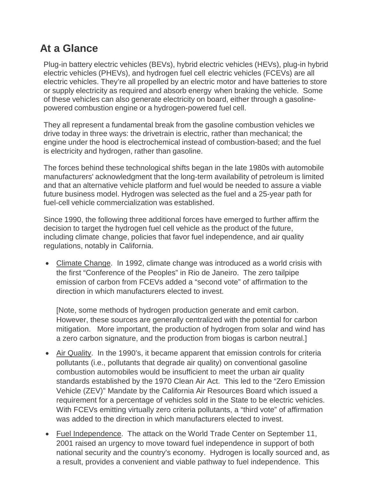#### **At a Glance**

Plug-in battery electric vehicles (BEVs), hybrid electric vehicles (HEVs), plug-in hybrid electric vehicles (PHEVs), and hydrogen fuel cell electric vehicles (FCEVs) are all electric vehicles. They're all propelled by an electric motor and have batteries to store or supply electricity as required and absorb energy when braking the vehicle. Some of these vehicles can also generate electricity on board, either through a gasolinepowered combustion engine or a hydrogen-powered fuel cell.

They all represent a fundamental break from the gasoline combustion vehicles we drive today in three ways: the drivetrain is electric, rather than mechanical; the engine under the hood is electrochemical instead of combustion-based; and the fuel is electricity and hydrogen, rather than gasoline.

The forces behind these technological shifts began in the late 1980s with automobile manufacturers' acknowledgment that the long-term availability of petroleum is limited and that an alternative vehicle platform and fuel would be needed to assure a viable future business model. Hydrogen was selected as the fuel and a 25-year path for fuel-cell vehicle commercialization was established.

Since 1990, the following three additional forces have emerged to further affirm the decision to target the hydrogen fuel cell vehicle as the product of the future, including climate change, policies that favor fuel independence, and air quality regulations, notably in California.

• Climate Change. In 1992, climate change was introduced as a world crisis with the first "Conference of the Peoples" in Rio de Janeiro. The zero tailpipe emission of carbon from FCEVs added a "second vote" of affirmation to the direction in which manufacturers elected to invest.

[Note, some methods of hydrogen production generate and emit carbon. However, these sources are generally centralized with the potential for carbon mitigation. More important, the production of hydrogen from solar and wind has a zero carbon signature, and the production from biogas is carbon neutral.]

- Air Quality. In the 1990's, it became apparent that emission controls for criteria pollutants (i.e., pollutants that degrade air quality) on conventional gasoline combustion automobiles would be insufficient to meet the urban air quality standards established by the 1970 Clean Air Act. This led to the "Zero Emission Vehicle (ZEV)" Mandate by the California Air Resources Board which issued a requirement for a percentage of vehicles sold in the State to be electric vehicles. With FCEVs emitting virtually zero criteria pollutants, a "third vote" of affirmation was added to the direction in which manufacturers elected to invest.
- Fuel Independence. The attack on the World Trade Center on September 11, 2001 raised an urgency to move toward fuel independence in support of both national security and the country's economy. Hydrogen is locally sourced and, as a result, provides a convenient and viable pathway to fuel independence. This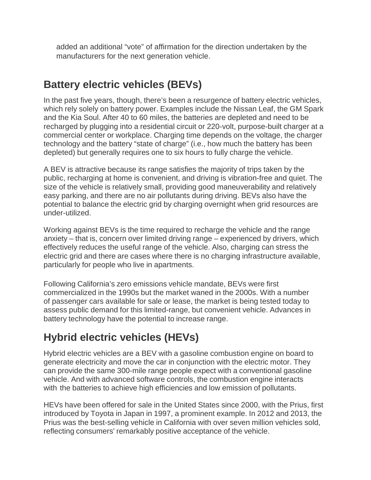added an additional "vote" of affirmation for the direction undertaken by the manufacturers for the next generation vehicle.

#### **Battery electric vehicles (BEVs)**

In the past five years, though, there's been a resurgence of battery electric vehicles, which rely solely on battery power. Examples include the Nissan Leaf, the GM Spark and the Kia Soul. After 40 to 60 miles, the batteries are depleted and need to be recharged by plugging into a residential circuit or 220-volt, purpose-built charger at a commercial center or workplace. Charging time depends on the voltage, the charger technology and the battery "state of charge" (i.e., how much the battery has been depleted) but generally requires one to six hours to fully charge the vehicle.

A BEV is attractive because its range satisfies the majority of trips taken by the public, recharging at home is convenient, and driving is vibration-free and quiet. The size of the vehicle is relatively small, providing good maneuverability and relatively easy parking, and there are no air pollutants during driving. BEVs also have the potential to balance the electric grid by charging overnight when grid resources are under-utilized.

Working against BEVs is the time required to recharge the vehicle and the range anxiety – that is, concern over limited driving range – experienced by drivers, which effectively reduces the useful range of the vehicle. Also, charging can stress the electric grid and there are cases where there is no charging infrastructure available, particularly for people who live in apartments.

Following California's zero emissions vehicle mandate, BEVs were first commercialized in the 1990s but the market waned in the 2000s. With a number of passenger cars available for sale or lease, the market is being tested today to assess public demand for this limited-range, but convenient vehicle. Advances in battery technology have the potential to increase range.

# **Hybrid electric vehicles (HEVs)**

Hybrid electric vehicles are a BEV with a gasoline combustion engine on board to generate electricity and move the car in conjunction with the electric motor. They can provide the same 300-mile range people expect with a conventional gasoline vehicle. And with advanced software controls, the combustion engine interacts with the batteries to achieve high efficiencies and low emission of pollutants.

HEVs have been offered for sale in the United States since 2000, with the Prius, first introduced by Toyota in Japan in 1997, a prominent example. In 2012 and 2013, the Prius was the best-selling vehicle in California with over seven million vehicles sold, reflecting consumers' remarkably positive acceptance of the vehicle.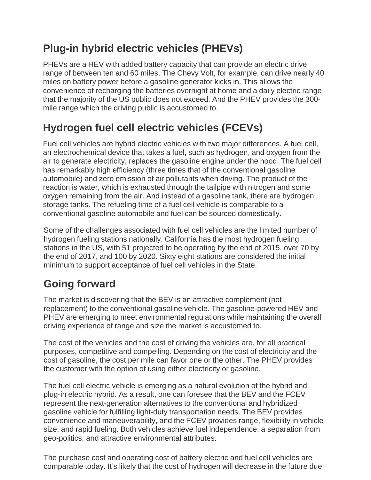# **Plug-in hybrid electric vehicles (PHEVs)**

PHEVs are a HEV with added battery capacity that can provide an electric drive range of between ten and 60 miles. The Chevy Volt, for example, can drive nearly 40 miles on battery power before a gasoline generator kicks in. This allows the convenience of recharging the batteries overnight at home and a daily electric range that the majority of the US public does not exceed. And the PHEV provides the 300 mile range which the driving public is accustomed to.

## **Hydrogen fuel cell electric vehicles (FCEVs)**

Fuel cell vehicles are hybrid electric vehicles with two major differences. A fuel cell, an electrochemical device that takes a fuel, such as hydrogen, and oxygen from the air to generate electricity, replaces the gasoline engine under the hood. The fuel cell has remarkably high efficiency (three times that of the conventional gasoline automobile) and zero emission of air pollutants when driving. The product of the reaction is water, which is exhausted through the tailpipe with nitrogen and some oxygen remaining from the air. And instead of a gasoline tank, there are hydrogen storage tanks. The refueling time of a fuel cell vehicle is comparable to a conventional gasoline automobile and fuel can be sourced domestically.

Some of the challenges associated with fuel cell vehicles are the limited number of hydrogen fueling stations nationally. California has the most hydrogen fueling stations in the US, with 51 projected to be operating by the end of 2015, over 70 by the end of 2017, and 100 by 2020. Sixty eight stations are considered the initial minimum to support acceptance of fuel cell vehicles in the State.

#### **Going forward**

The market is discovering that the BEV is an attractive complement (not replacement) to the conventional gasoline vehicle. The gasoline-powered HEV and PHEV are emerging to meet environmental regulations while maintaining the overall driving experience of range and size the market is accustomed to.

The cost of the vehicles and the cost of driving the vehicles are, for all practical purposes, competitive and compelling. Depending on the cost of electricity and the cost of gasoline, the cost per mile can favor one or the other. The PHEV provides the customer with the option of using either electricity or gasoline.

The fuel cell electric vehicle is emerging as a natural evolution of the hybrid and plug-in electric hybrid. As a result, one can foresee that the BEV and the FCEV represent the next-generation alternatives to the conventional and hybridized gasoline vehicle for fulfilling light-duty transportation needs. The BEV provides convenience and maneuverability, and the FCEV provides range, flexibility in vehicle size, and rapid fueling. Both vehicles achieve fuel independence, a separation from geo-politics, and attractive environmental attributes.

The purchase cost and operating cost of battery electric and fuel cell vehicles are comparable today. It's likely that the cost of hydrogen will decrease in the future due